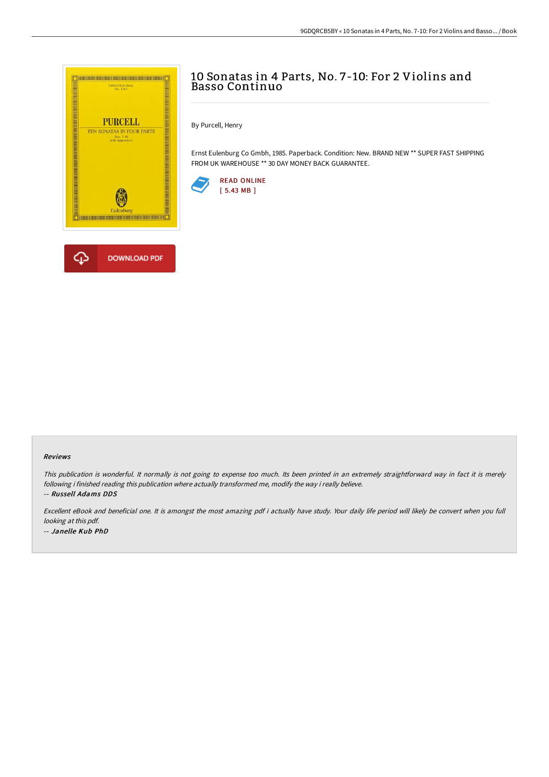

## 10 Sonatas in 4 Parts, No. 7-10: For 2 Violins and Basso Continuo

By Purcell, Henry

Ernst Eulenburg Co Gmbh, 1985. Paperback. Condition: New. BRAND NEW \*\* SUPER FAST SHIPPING FROM UK WAREHOUSE \*\* 30 DAY MONEY BACK GUARANTEE.



## Reviews

This publication is wonderful. It normally is not going to expense too much. Its been printed in an extremely straightforward way in fact it is merely following i finished reading this publication where actually transformed me, modify the way i really believe. -- Russell Adams DDS

Excellent eBook and beneficial one. It is amongst the most amazing pdf i actually have study. Your daily life period will likely be convert when you full looking at this pdf. -- Janelle Kub PhD